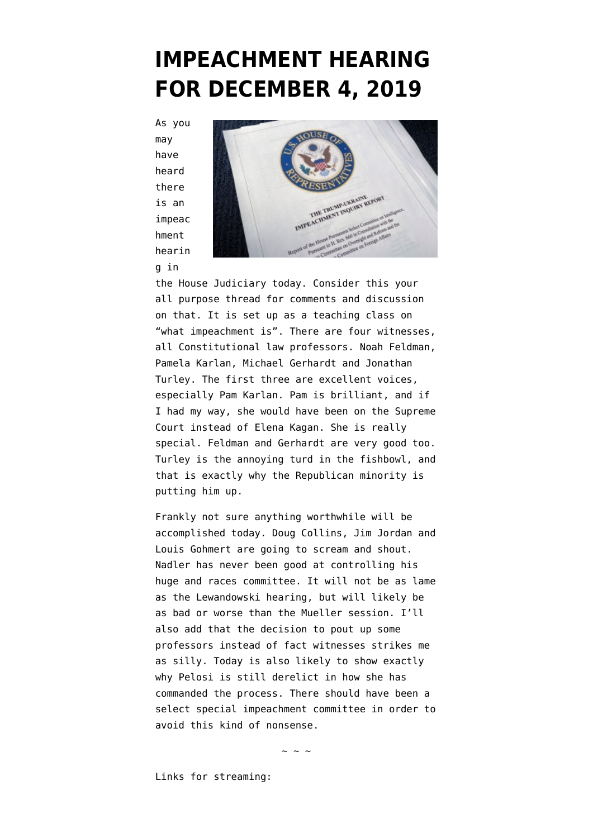## **[IMPEACHMENT HEARING](https://www.emptywheel.net/2019/12/04/impeachment-hearing-for-december-4-2019/) [FOR DECEMBER 4, 2019](https://www.emptywheel.net/2019/12/04/impeachment-hearing-for-december-4-2019/)**

As you may have heard there is an impeac hment hearin

g in



the House Judiciary today. Consider this your all purpose thread for comments and discussion on that. It is set up as a teaching class on "what impeachment is". There are four witnesses, all Constitutional law professors. Noah Feldman, Pamela Karlan, Michael Gerhardt and Jonathan Turley. The first three are excellent voices, especially Pam Karlan. Pam is brilliant, and if I had my way, she would have been on the Supreme Court instead of Elena Kagan. She is really special. Feldman and Gerhardt are very good too. Turley is the annoying turd in the fishbowl, and that is exactly why the Republican minority is putting him up.

Frankly not sure anything worthwhile will be accomplished today. Doug Collins, Jim Jordan and Louis Gohmert are going to scream and shout. Nadler has never been good at controlling his huge and races committee. It will not be as lame as the Lewandowski hearing, but will likely be as bad or worse than the Mueller session. I'll also add that the decision to pout up some professors instead of fact witnesses strikes me as silly. Today is also likely to show exactly why Pelosi is still derelict in how she has commanded the process. There should have been a select special impeachment committee in order to avoid this kind of nonsense.

 $\sim$  ~ ~

Links for streaming: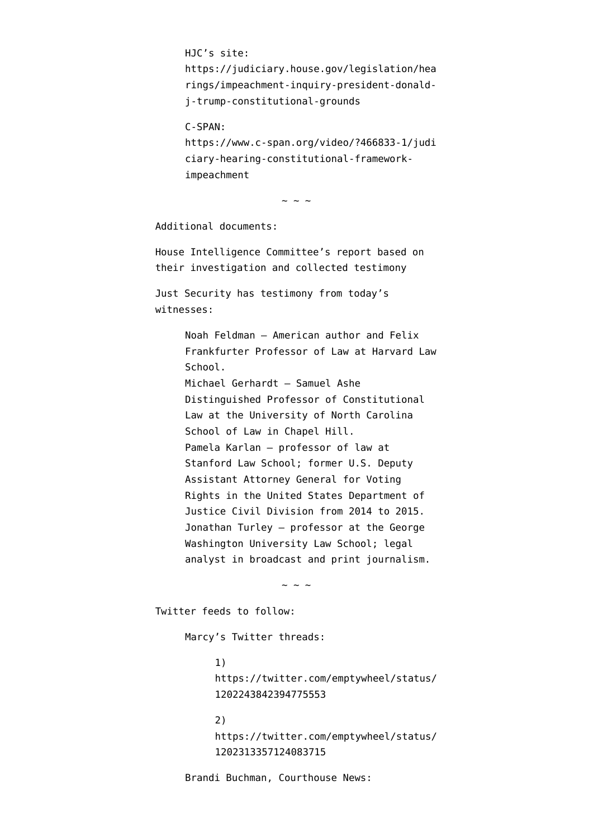HJC's site: https://judiciary.house.gov/legislation/hea rings/impeachment-inquiry-president-donaldj-trump-constitutional-grounds

C-SPAN:

https://www.c-span.org/video/?466833-1/judi ciary-hearing-constitutional-frameworkimpeachment

 $\sim$  ~ ~

Additional documents:

[House Intelligence Committee's report](https://intelligence.house.gov/report/) based on their investigation and collected testimony

Just Security has testimony from today's witnesses:

> [Noah Feldman](https://www.justsecurity.org/wp-content/uploads/2019/12/ukraine-clearinghouse-FeldmanP-20191204.pdf) — American author and Felix Frankfurter Professor of Law at Harvard Law School. [Michael Gerhardt](https://www.justsecurity.org/wp-content/uploads/2019/12/ukraine-clearinghouse-GerhardtP-20191204.pdf) — Samuel Ashe Distinguished Professor of Constitutional Law at the University of North Carolina School of Law in Chapel Hill. [Pamela Karlan](https://www.justsecurity.org/wp-content/uploads/2019/12/ukraine-clearinghouse-KarlanP-20191204.pdf) — professor of law at Stanford Law School; former U.S. Deputy Assistant Attorney General for Voting Rights in the United States Department of Justice Civil Division from 2014 to 2015. [Jonathan Turley](https://www.justsecurity.org/wp-content/uploads/2019/12/ukraine-clearinghouse-Turley.pdf) — professor at the George Washington University Law School; legal analyst in broadcast and print journalism.

> > $\sim$  ~ ~

Twitter feeds to follow:

Marcy's Twitter threads:

1) https://twitter.com/emptywheel/status/ 1202243842394775553

2) https://twitter.com/emptywheel/status/ 1202313357124083715

Brandi Buchman, Courthouse News: